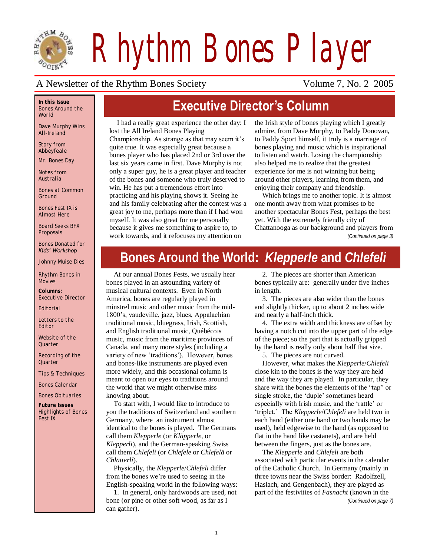

*Rhythm Bones Player*

### A Newsletter of the Rhythm Bones Society Volume 7, No. 2 2005

*In this Issue Bones Around the World*

*Dave Murphy Wins All-Ireland*

*Story from Abbeyfeale*

*Mr. Bones Day*

*Notes from Australia*

*Bones at Common Ground*

*Bones Fest IX is Almost Here*

*Board Seeks BFX Proposals*

*Bones Donated for Kids' Workshop*

*Johnny Muise Dies*

*Rhythm Bones in Movies*

*Columns: Executive Director*

*Editorial*

*Letters to the Editor*

*Website of the Quarter*

*Recording of the Quarter*

*Tips & Techniques*

*Bones Calendar* 

*Bones Obituaries*

*Future Issues Highlights of Bones Fest IX*

# **Executive Director's Column**

I had a really great experience the other day: I lost the All Ireland Bones Playing

Championship. As strange as that may seem it's quite true. It was especially great because a bones player who has placed 2nd or 3rd over the last six years came in first. Dave Murphy is not only a super guy, he is a great player and teacher of the bones and someone who truly deserved to win. He has put a tremendous effort into practicing and his playing shows it. Seeing he and his family celebrating after the contest was a great joy to me, perhaps more than if I had won myself. It was also great for me personally because it gives me something to aspire to, to work towards, and it refocuses my attention on

the Irish style of bones playing which I greatly admire, from Dave Murphy, to Paddy Donovan, to Paddy Sport himself, it truly is a marriage of bones playing and music which is inspirational to listen and watch. Losing the championship also helped me to realize that the greatest experience for me is not winning but being around other players, learning from them, and enjoying their company and friendship.

Which brings me to another topic. It is almost one month away from what promises to be another spectacular Bones Fest, perhaps the best yet. With the extremely friendly city of Chattanooga as our background and players from *(Continued on page 3)*

# **Bones Around the World:** *Klepperle* **and** *Chlefeli*

At our annual Bones Fests, we usually hear bones played in an astounding variety of musical cultural contexts. Even in North America, bones are regularly played in minstrel music and other music from the mid-1800's, vaudeville, jazz, blues, Appalachian traditional music, bluegrass, Irish, Scottish, and English traditional music, Québécois music, music from the maritime provinces of Canada, and many more styles (including a variety of new 'traditions'). However, bones and bones-like instruments are played even more widely, and this occasional column is meant to open our eyes to traditions around the world that we might otherwise miss knowing about.

To start with, I would like to introduce to you the traditions of Switzerland and southern Germany, where an instrument almost identical to the bones is played. The Germans call them *Klepperle* (or *Kläpperle*, or *Klepperli*), and the German-speaking Swiss call them *Chlefeli* (or *Chlefele* or *Chlefelä* or *Chlätterli*).

Physically, the *Klepperle*/*Chlefeli* differ from the bones we're used to seeing in the English-speaking world in the following ways:

1. In general, only hardwoods are used, not bone (or pine or other soft wood, as far as I can gather).

2. The pieces are shorter than American bones typically are: generally under five inches in length.

3. The pieces are also wider than the bones and slightly thicker, up to about 2 inches wide and nearly a half-inch thick.

4. The extra width and thickness are offset by having a notch cut into the upper part of the edge of the piece; so the part that is actually gripped by the hand is really only about half that size.

5. The pieces are not curved.

However, what makes the *Klepperle*/*Chlefeli* close kin to the bones is the way they are held and the way they are played. In particular, they share with the bones the elements of the "tap" or single stroke, the 'duple' sometimes heard especially with Irish music, and the 'rattle' or ‗triplet.' The *Klepperle*/*Chlefeli* are held two in each hand (either one hand or two hands may be used), held edgewise to the hand (as opposed to flat in the hand like castanets), and are held between the fingers, just as the bones are.

The *Klepperle* and *Chlefeli* are both associated with particular events in the calendar of the Catholic Church. In Germany (mainly in three towns near the Swiss border: Radolfzell, Haslach, and Gengenbach), they are played as part of the festivities of *Fasnacht* (known in the *(Continued on page 7)*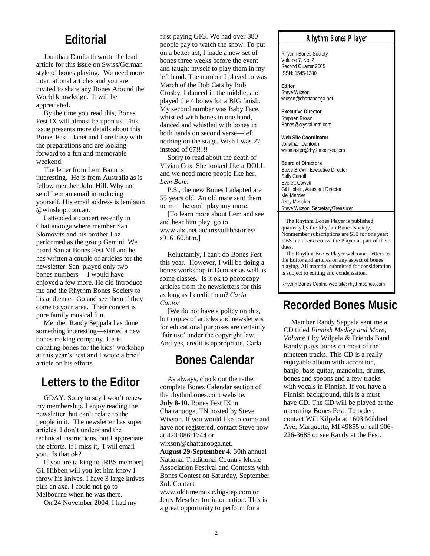### **Editorial**

Jonathan Danforth wrote the lead article for this issue on Swiss/German style of bones playing. We need more international articles and you are invited to share any Bones Around the World knowledge. It will be appreciated.

By the time you read this, Bones Fest IX will almost be upon us. This issue presents more details about this Bones Fest. Janet and I are busy with the preparations and are looking forward to a fun and memorable weekend.

The letter from Lem Bann is interesting. He is from Australia as is fellow member John Hill. Why not send Lem an email introducing yourself. His email address is lembann @winshop.com.au.

I attended a concert recently in Chattanooga where member San Slomovits and his brother Laz performed as the group Gemini. We heard San at Bones Fest VII and he has written a couple of articles for the newsletter. San played only two bones numbers— I would have enjoyed a few more. He did introduce me and the Rhythm Bones Society to his audience. Go and see them if they come to your area. Their concert is pure family musical fun.

Member Randy Seppala has done something interesting—started a new bones making company. He is donating bones for the kids' workshop at this year's Fest and I wrote a brief article on his efforts.

### **Letters to the Editor**

GDAY. Sorry to say I won't renew my membership. I enjoy reading the newsletter, but can't relate to the people in it. The newsletter has super articles. I don't understand the technical instructions, but I appreciate the efforts. If I miss it, I will email you. Is that ok?

If you are talking to [RBS member] Gil Hibben will you let him know I throw his knives. I have 3 large knives plus an axe. I could not go to Melbourne when he was there.

On 24 November 2004, I had my

first paying GIG. We had over 380 people pay to watch the show. To put on a better act, I made a new set of bones three weeks before the event and taught myself to play them in my left hand. The number I played to was March of the Bob Cats by Bob Crosby. I danced in the middle, and played the 4 bones for a BIG finish. My second number was Baby Face, whistled with bones in one hand, danced and whistled with bones in both hands on second verse—left nothing on the stage. Wish I was 27 instead of 67!!!!!

Sorry to read about the death of Vivian Cox. She looked like a DOLL and we need more people like her. *Lem Bann* 

P.S., the new Bones I adapted are 55 years old. An old mate sent them to me—he can't play any more.

[To learn more about Lem and see and hear him play, go to www.abc.net.au/arts/adlib/stories/ s916160.htm.]

Reluctantly, I can't do Bones Fest this year. However, I will be doing a bones workshop in October as well as some classes. Is it ok to photocopy articles from the newsletters for this as long as I credit them? *Carla Cantor*

[We do not have a policy on this, but copies of articles and newsletters for educational purposes are certainly 'fair use' under the copyright law. And yes, credit is appropriate. Carla

### **Bones Calendar**

As always, check out the rather complete Bones Calendar section of the rhythmbones.com website. **July 8-10.** Bones Fest IX in Chattanooga, TN hosted by Steve Wixson. If you would like to come and have not registered, contact Steve now at 423-886-1744 or wixson@chattanooga.net.

**August 29-September 4.** 30th annual National Traditional Country Music Association Festival and Contests with Bones Contest on Saturday, September 3rd. Contact

www.oldtimemusic.bigstep.com or Jerry Mescher for information. This is a great opportunity to perform for a

#### *Rhythm Bones Player*

Rhythm Bones Society Volume 7, No. 2 Second Quarter 2005 ISSN: 1545-1380

**Editor** Steve Wixson wixson@chattanooga.net

**Executive Director** Stephen Brown Bones@crystal-mtn.com

**Web Site Coordinator** Jonathan Danforth webmaster@rhythmbones.com

**Board of Directors** Steve Brown, Executive Director Sally Carroll Everett Cowett Gil Hibben, Assistant Director Mel Mercier Jerry Mescher Steve Wixson, Secretary/Treasurer

 The Rhythm Bones Player is published quarterly by the Rhythm Bones Society. Nonmember subscriptions are \$10 for one year; RBS members receive the Player as part of their dues.

 The Rhythm Bones Player welcomes letters to the Editor and articles on any aspect of bones playing. All material submitted for consideration is subject to editing and condensation.

Rhythm Bones Central web site: rhythmbones.com

# **Recorded Bones Music**

Member Randy Seppala sent me a CD titled *Finnish Medley and More, Volume 1* by Wilpela & Friends Band. Randy plays bones on most of the nineteen tracks. This CD is a really enjoyable album with accordion, banjo, bass guitar, mandolin, drums, bones and spoons and a few tracks with vocals in Finnish. If you have a Finnish background, this is a must have CD. The CD will be played at the upcoming Bones Fest. To order, contact Will Kilpela at 1603 Mildred Ave, Marquette, MI 49855 or call 906- 226-3685 or see Randy at the Fest.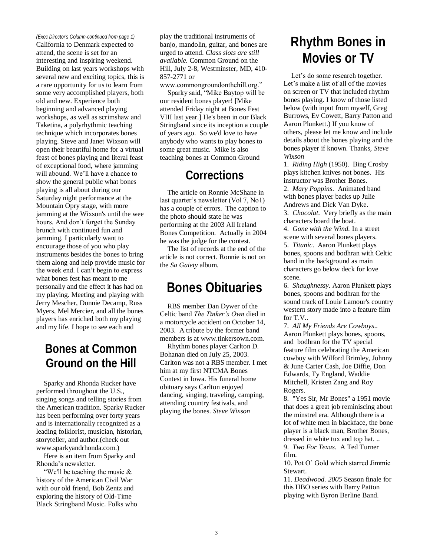*(Exec Director's Column-continued from page 1)*

California to Denmark expected to attend, the scene is set for an interesting and inspiring weekend. Building on last years workshops with several new and exciting topics, this is a rare opportunity for us to learn from some very accomplished players, both old and new. Experience both beginning and advanced playing workshops, as well as scrimshaw and Taketina, a polyrhythmic teaching technique which incorporates bones playing. Steve and Janet Wixson will open their beautiful home for a virtual feast of bones playing and literal feast of exceptional food, where jamming will abound. We'll have a chance to show the general public what bones playing is all about during our Saturday night performance at the Mountain Opry stage, with more jamming at the Wixson's until the wee hours. And don't forget the Sunday brunch with continued fun and jamming. I particularly want to encourage those of you who play instruments besides the bones to bring them along and help provide music for the week end. I can't begin to express what bones fest has meant to me personally and the effect it has had on my playing. Meeting and playing with Jerry Mescher, Donnie Decamp, Russ Myers, Mel Mercier, and all the bones players has enriched both my playing and my life. I hope to see each and

# **Bones at Common Ground on the Hill**

Sparky and Rhonda Rucker have performed throughout the U.S., singing songs and telling stories from the American tradition. Sparky Rucker has been performing over forty years and is internationally recognized as a leading folklorist, musician, historian, storyteller, and author.(check out www.sparkyandrhonda.com.)

Here is an item from Sparky and Rhonda's newsletter.

"We'll be teaching the music  $\&$ history of the American Civil War with our old friend, Bob Zentz and exploring the history of Old-Time Black Stringband Music. Folks who

play the traditional instruments of banjo, mandolin, guitar, and bones are urged to attend. *Class slots are still available.* Common Ground on the Hill, July 2-8, Westminster, MD, 410- 857-2771 or

www.commongroundonthehill.org."

Sparky said, "Mike Baytop will be our resident bones player! [Mike attended Friday night at Bones Fest VIII last year.] He's been in our Black Stringband since its inception a couple of years ago. So we'd love to have anybody who wants to play bones to some great music. Mike is also teaching bones at Common Ground

# **Corrections**

The article on Ronnie McShane in last quarter's newsletter (Vol 7, No1) has a couple of errors. The caption to the photo should state he was performing at the 2003 All Ireland Bones Competition. Actually in 2004 he was the judge for the contest.

The list of records at the end of the article is not correct. Ronnie is not on the *Sa Gaiety* album.

# **Bones Obituaries**

RBS member Dan Dywer of the Celtic band *The Tinker's Own* died in a motorcycle accident on October 14, 2003. A tribute by the former band members is at www.tinkersown.com.

Rhythm bones player Carlton D. Bohanan died on July 25, 2003. Carlton was not a RBS member. I met him at my first NTCMA Bones Contest in Iowa. His funeral home obituary says Carlton enjoyed dancing, singing, traveling, camping, attending country festivals, and playing the bones. *Steve Wixson*

# **Rhythm Bones in Movies or TV**

Let's do some research together. Let's make a list of all of the movies on screen or TV that included rhythm bones playing. I know of those listed below (with input from myself, Greg Burrows, Ev Cowett, Barry Patton and Aaron Plunkett.) If you know of others, please let me know and include details about the bones playing and the bones player if known. Thanks, *Steve Wixson*

1. *Riding High* (1950). Bing Crosby plays kitchen knives not bones. His instructor was Brother Bones. 2. *Mary Poppins*. Animated band with bones player backs up Julie Andrews and Dick Van Dyke. 3. *Chocolat*. Very briefly as the main characters board the boat.

4. *Gone with the Wind.* In a street scene with several bones players. 5. *Titanic*. Aaron Plunkett plays bones, spoons and bodhran with Celtic band in the background as main characters go below deck for love scene.

6. *Shaughnessy*. Aaron Plunkett plays bones, spoons and bodhran for the sound track of Louie Lamour's country western story made into a feature film for T.V..

7. *All My Friends Are Cowboys*.. Aaron Plunkett plays bones, spoons, and bodhran for the TV special feature film celebrating the American cowboy with Wilford Brimley, Johnny & June Carter Cash, Joe Diffie, Don Edwards, Ty England, Waddie Mitchell, Kristen Zang and Roy Rogers.

8. "Yes Sir, Mr Bones" a 1951 movie that does a great job reminiscing about the minstrel era. Although there is a lot of white men in blackface, the bone player is a black man, Brother Bones, dressed in white tux and top hat. .. 9. *Two For Texas.* A Ted Turner film.

10. Pot O' Gold which starred Jimmie Stewart.

11. *Deadwood. 2005* Season finale for this HBO series with Barry Patton playing with Byron Berline Band.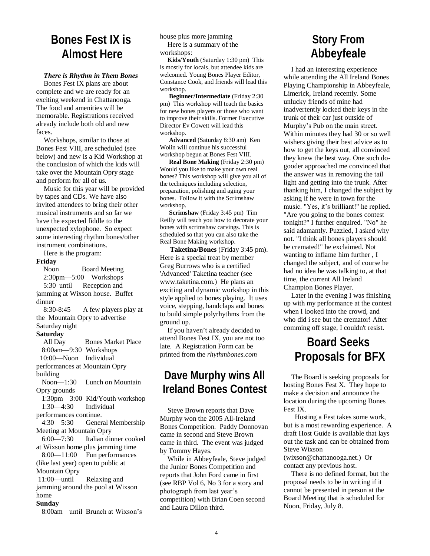### **Bones Fest IX is Almost Here**

#### *There is Rhythm in Them Bones*

Bones Fest IX plans are about complete and we are ready for an exciting weekend in Chattanooga. The food and amenities will be memorable. Registrations received already include both old and new faces.

Workshops, similar to those at Bones Fest VIII, are scheduled (see below) and new is a Kid Workshop at the conclusion of which the kids will take over the Mountain Opry stage and perform for all of us.

Music for this year will be provided by tapes and CDs. We have also invited attendees to bring their other musical instruments and so far we have the expected fiddle to the unexpected xylophone. So expect some interesting rhythm bones/other instrument combinations.

Here is the program:

**Friday**

Noon Board Meeting 2:30pm—5:00 Workshops 5:30–until Reception and jamming at Wixson house. Buffet dinner

 8:30-8:45 A few players play at the Mountain Opry to advertise Saturday night

#### **Saturday**

All Day Bones Market Place 8:00am—9:30 Workshops 10:00—Noon Individual performances at Mountain Opry building Noon—1:30 Lunch on Mountain Opry grounds 1:30pm—3:00 Kid/Youth workshop 1:30—4:30 Individual performances continue. 4:30—5:30 General Membership Meeting at Mountain Opry 6:00—7:30 Italian dinner cooked at Wixson home plus jamming time 8:00—11:00 Fun performances (like last year) open to public at Mountain Opry 11:00—until Relaxing and

jamming around the pool at Wixson home

#### **Sunday**

8:00am—until Brunch at Wixson's

house plus more jamming Here is a summary of the workshops:

**Kids/Youth** (Saturday 1:30 pm) This is mostly for locals, but attendee kids are welcomed. Young Bones Player Editor, Constance Cook, and friends will lead this workshop.

**Beginner/Intermediate** (Friday 2:30 pm) This workshop will teach the basics for new bones players or those who want to improve their skills. Former Executive Director Ev Cowett will lead this workshop.

**Advanced** (Saturday 8:30 am) Ken Wolin will continue his successful workshop begun at Bones Fest VIII.

**Real Bone Making** (Friday 2:30 pm) Would you like to make your own real bones? This workshop will give you all of the techniques including selection, preparation, polishing and aging your bones. Follow it with the Scrimshaw workshop.

**Scrimshaw** (Friday 3:45 pm) Tim Reilly will teach you how to decorate your bones with scrimshaw carvings. This is scheduled so that you can also take the Real Bone Making workshop.

**Taketina/Bones** (Friday 3:45 pm). Here is a special treat by member Greg Burrows who is a certified 'Advanced' Taketina teacher (see www.taketina.com.) He plans an exciting and dynamic workshop in this style applied to bones playing. It uses voice, stepping, handclaps and bones to build simple polyrhythms from the ground up.

If you haven't already decided to attend Bones Fest IX, you are not too late. A Registration Form can be printed from the *rhythmbones.com* 

### **Dave Murphy wins All Ireland Bones Contest**

Steve Brown reports that Dave Murphy won the 2005 All-Ireland Bones Competition. Paddy Donnovan came in second and Steve Brown came in third. The event was judged by Tommy Hayes.

While in Abbeyfeale, Steve judged the Junior Bones Competition and reports that John Ford came in first (see RBP Vol 6, No 3 for a story and photograph from last year's competition) with Brian Coen second and Laura Dillon third.

### **Story From Abbeyfeale**

I had an interesting experience while attending the All Ireland Bones Playing Championship in Abbeyfeale, Limerick, Ireland recently. Some unlucky friends of mine had inadvertently locked their keys in the trunk of their car just outside of Murphy's Pub on the main street. Within minutes they had 30 or so well wishers giving their best advice as to how to get the keys out, all convinced they knew the best way. One such dogooder approached me convinced that the answer was in removing the tail light and getting into the trunk. After thanking him, I changed the subject by asking if he were in town for the music. "Yes, it's brilliant!" he replied. "Are you going to the bones contest tonight?" I further enquired. "No" he said adamantly. Puzzled, I asked why not. "I think all bones players should be cremated!" he exclaimed. Not wanting to inflame him further , I changed the subject, and of course he had no idea he was talking to, at that time, the current All Ireland Champion Bones Player.

Later in the evening I was finishing up with my performance at the contest when I looked into the crowd, and who did i see but the cremator! After comming off stage, I couldn't resist.

# **Board Seeks Proposals for BFX**

The Board is seeking proposals for hosting Bones Fest X. They hope to make a decision and announce the location during the upcoming Bones Fest IX.

 Hosting a Fest takes some work, but is a most rewarding experience. A draft Host Guide is available that lays out the task and can be obtained from Steve Wixson

(wixson@chattanooga.net.) Or contact any previous host.

There is no defined format, but the proposal needs to be in writing if it cannot be presented in person at the Board Meeting that is scheduled for Noon, Friday, July 8.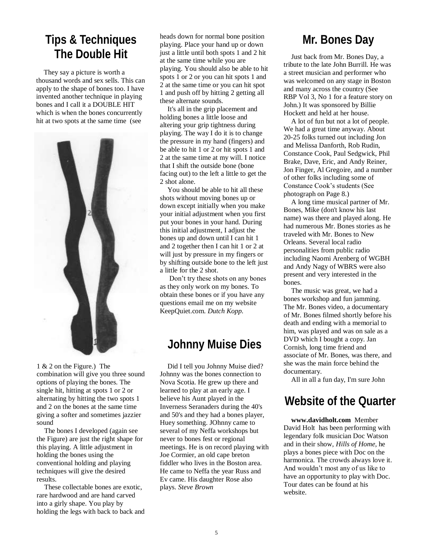### **Tips & Techniques The Double Hit**

They say a picture is worth a thousand words and sex sells. This can apply to the shape of bones too. I have invented another technique in playing bones and I call it a DOUBLE HIT which is when the bones concurrently hit at two spots at the same time (see



1 & 2 on the Figure.) The combination will give you three sound options of playing the bones. The single hit, hitting at spots 1 or 2 or alternating by hitting the two spots 1 and 2 on the bones at the same time giving a softer and sometimes jazzier sound

The bones I developed (again see the Figure) are just the right shape for this playing. A little adjustment in holding the bones using the conventional holding and playing techniques will give the desired results.

These collectable bones are exotic, rare hardwood and are hand carved into a girly shape. You play by holding the legs with back to back and heads down for normal bone position playing. Place your hand up or down just a little until both spots 1 and 2 hit at the same time while you are playing. You should also be able to hit spots 1 or 2 or you can hit spots 1 and 2 at the same time or you can hit spot 1 and push off by hitting 2 getting all these alternate sounds.

It's all in the grip placement and holding bones a little loose and altering your grip tightness during playing. The way I do it is to change the pressure in my hand (fingers) and be able to hit 1 or 2 or hit spots 1 and 2 at the same time at my will. I notice that I shift the outside bone (bone facing out) to the left a little to get the 2 shot alone.

You should be able to hit all these shots without moving bones up or down except initially when you make your initial adjustment when you first put your bones in your hand. During this initial adjustment, I adjust the bones up and down until I can hit 1 and 2 together then I can hit 1 or 2 at will just by pressure in my fingers or by shifting outside bone to the left just a little for the 2 shot.

Don't try these shots on any bones as they only work on my bones. To obtain these bones or if you have any questions email me on my website KeepQuiet.com. *Dutch Kopp.* 

### **Johnny Muise Dies**

Did I tell you Johnny Muise died? Johnny was the bones connection to Nova Scotia. He grew up there and learned to play at an early age. I believe his Aunt played in the Inverness Seranaders during the 40's and 50's and they had a bones player, Huey something. JOhnny came to several of my Neffa workshops but never to bones fest or regional meetings. He is on record playing with Joe Cormier, an old cape breton fiddler who lives in the Boston area. He came to Neffa the year Russ and Ev came. His daughter Rose also plays. *Steve Brown*

### **Mr. Bones Day**

Just back from Mr. Bones Day, a tribute to the late John Burrill. He was a street musician and performer who was welcomed on any stage in Boston and many across the country (See RBP Vol 3, No 1 for a feature story on John.) It was sponsored by Billie Hockett and held at her house.

A lot of fun but not a lot of people. We had a great time anyway. About 20-25 folks turned out including Jon and Melissa Danforth, Rob Rudin, Constance Cook, Paul Sedgwick, Phil Brake, Dave, Eric, and Andy Reiner, Jon Finger, Al Gregoire, and a number of other folks including some of Constance Cook's students (See photograph on Page 8.)

A long time musical partner of Mr. Bones, Mike (don't know his last name) was there and played along. He had numerous Mr. Bones stories as he traveled with Mr. Bones to New Orleans. Several local radio personalities from public radio including Naomi Arenberg of WGBH and Andy Nagy of WBRS were also present and very interested in the bones.

The music was great, we had a bones workshop and fun jamming. The Mr. Bones video, a documentary of Mr. Bones filmed shortly before his death and ending with a memorial to him, was played and was on sale as a DVD which I bought a copy. Jan Cornish, long time friend and associate of Mr. Bones, was there, and she was the main force behind the documentary.

All in all a fun day, I'm sure John

### **Website of the Quarter**

**www.davidholt.com** Member David Holt has been performing with legendary folk musician Doc Watson and in their show, *Hills of Home*, he plays a bones piece with Doc on the harmonica. The crowds always love it. And wouldn't most any of us like to have an opportunity to play with Doc. Tour dates can be found at his website.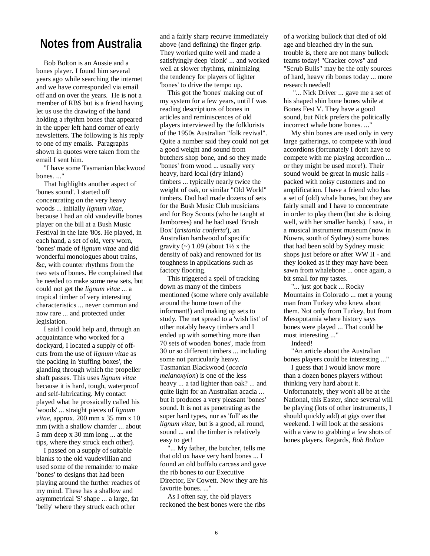### **Notes from Australia**

Bob Bolton is an Aussie and a bones player. I found him several years ago while searching the internet and we have corresponded via email off and on over the years. He is not a member of RBS but is a friend having let us use the drawing of the hand holding a rhythm bones that appeared in the upper left hand corner of early newsletters. The following is his reply to one of my emails. Paragraphs shown in quotes were taken from the email I sent him.

"I have some Tasmanian blackwood bones. ..."

That highlights another aspect of 'bones sound'. I started off concentrating on the very heavy woods ... initially *lignum vitae,* because I had an old vaudeville bones player on the bill at a Bush Music Festival in the late '80s. He played, in each hand, a set of old, very worn, 'bones' made of *lignum vitae* and did wonderful monologues about trains, &c, with counter rhythms from the two sets of bones. He complained that he needed to make some new sets, but could not get the *lignum vitae* ... a tropical timber of very interesting characteristics ... never common and now rare ... and protected under legislation.

I said I could help and, through an acquaintance who worked for a dockyard, I located a supply of offcuts from the use of *lignum vitae* as the packing in 'stuffing boxes', the glanding through which the propeller shaft passes. This uses *lignum vitae*  because it is hard, tough, waterproof and self-lubricating. My contact played what he prosaically called his 'woods' ... straight pieces of *lignum vitae*, approx. 200 mm x 35 mm x 10 mm (with a shallow chamfer ... about 5 mm deep x 30 mm long ... at the tips, where they struck each other).

I passed on a supply of suitable blanks to the old vaudevillian and used some of the remainder to make 'bones' to designs that had been playing around the further reaches of my mind. These has a shallow and asymmetrical 'S' shape ... a large, fat 'belly' where they struck each other

and a fairly sharp recurve immediately above (and defining) the finger grip. They worked quite well and made a satisfyingly deep 'clonk' ... and worked well at slower rhythms, minimizing the tendency for players of lighter 'bones' to drive the tempo up.

This got the 'bones' making out of my system for a few years, until I was reading descriptions of bones in articles and reminiscences of old players interviewed by the folklorists of the 1950s Australian "folk revival". Quite a number said they could not get a good weight and sound from butchers shop bone, and so they made 'bones' from wood ... usually very heavy, hard local (dry inland) timbers ... typically nearly twice the weight of oak, or similar "Old World" timbers. Dad had made dozens of sets for the Bush Music Club musicians and for Boy Scouts (who he taught at Jamborees) and he had used 'Brush Box' (*tristania conferta*'), an Australian hardwood of specific gravity  $(\sim)$  1.09 (about 1½ x the density of oak) and renowned for its toughness in applications such as factory flooring.

This triggered a spell of tracking down as many of the timbers mentioned (some where only available around the home town of the informant!) and making up sets to study. The net spread to a 'wish list' of other notably heavy timbers and I ended up with something more than 70 sets of wooden 'bones', made from 30 or so different timbers ... including some not particularly heavy. Tasmanian Blackwood (*acacia melanoxylon*) is one of the less heavy ... a tad lighter than oak? ... and quite light for an Australian acacia ... but it produces a very pleasant 'bones' sound. It is not as penetrating as the super hard types, nor as 'full' as the *lignum vitae*, but is a good, all round, sound ... and the timber is relatively easy to get!

"... My father, the butcher, tells me that old ox have very hard bones ... I found an old buffalo carcass and gave the rib bones to our Executive Director, Ev Cowett. Now they are his favorite bones. ..."

As I often say, the old players reckoned the best bones were the ribs of a working bullock that died of old age and bleached dry in the sun. trouble is, there are not many bullock teams today! "Cracker cows" and "Scrub Bulls" may be the only sources of hard, heavy rib bones today ... more research needed!

"... Nick Driver ... gave me a set of his shaped shin bone bones while at Bones Fest V. They have a good sound, but Nick prefers the politically incorrect whale bone bones. ..."

My shin bones are used only in very large gatherings, to compete with loud accordions (fortunately I don't have to compete with me playing accordion ... or they might be used more!). Their sound would be great in music halls packed with noisy customers and no amplification. I have a friend who has a set of (old) whale bones, but they are fairly small and I have to concentrate in order to play them (but she is doing well, with her smaller hands). I saw, in a musical instrument museum (now in Nowra, south of Sydney) some bones that had been sold by Sydney music shops just before or after WW II - and they looked as if they may have been sawn from whalebone ... once again, a bit small for my tastes.

"... just got back ... Rocky Mountains in Colorado ... met a young man from Turkey who knew about them. Not only from Turkey, but from Mesopotamia where history says bones were played ... That could be most interesting ..."

Indeed!

"An article about the Australian bones players could be interesting ..." I guess that I would know more than a dozen bones players without thinking very hard about it. Unfortunately, they won't all be at the National, this Easter, since several will be playing (lots of other instruments, I should quickly add) at gigs over that weekend. I will look at the sessions with a view to grabbing a few shots of bones players. Regards, *Bob Bolton*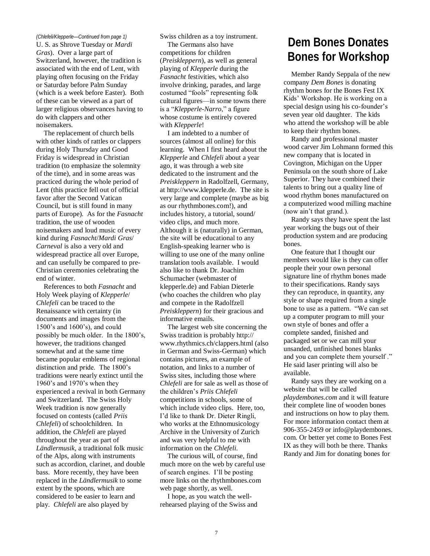#### *(Chlefeli/Klepperle—Continued from page 1)* Swiss children as a toy instrument.

U. S. as Shrove Tuesday or *Mardi Gras*). Over a large part of Switzerland, however, the tradition is associated with the end of Lent, with playing often focusing on the Friday or Saturday before Palm Sunday (which is a week before Easter). Both of these can be viewed as a part of larger religious observances having to do with clappers and other noisemakers.

The replacement of church bells with other kinds of rattles or clappers during Holy Thursday and Good Friday is widespread in Christian tradition (to emphasize the solemnity of the time), and in some areas was practiced during the whole period of Lent (this practice fell out of official favor after the Second Vatican Council, but is still found in many parts of Europe). As for the *Fasnacht* tradition, the use of wooden noisemakers and loud music of every kind during *Fasnacht*/*Mardi Gras*/ *Carneval* is also a very old and widespread practice all over Europe, and can usefully be compared to pre-Christian ceremonies celebrating the end of winter.

References to both *Fasnacht* and Holy Week playing of *Klepperle*/ *Chlefeli* can be traced to the Renaissance with certainty (in documents and images from the 1500's and 1600's), and could possibly be much older. In the 1800's, however, the traditions changed somewhat and at the same time became popular emblems of regional distinction and pride. The 1800's traditions were nearly extinct until the 1960's and 1970's when they experienced a revival in both Germany and Switzerland. The Swiss Holy Week tradition is now generally focused on contests (called *Priis Chlefeli*) of schoolchildren. In addition, the *Chlefeli* are played throughout the year as part of *Ländlermusik*, a traditional folk music of the Alps, along with instruments such as accordion, clarinet, and double bass. More recently, they have been replaced in the *Ländlermusik* to some extent by the spoons, which are considered to be easier to learn and play. *Chlefeli* are also played by

The Germans also have competitions for children (*Preiskleppern*), as well as general playing of *Klepperle* during the *Fasnacht* festivities, which also involve drinking, parades, and large costumed "fools" representing folk cultural figures—in some towns there is a "Klepperle-Narro," a figure whose costume is entirely covered with *Klepperle*!

I am indebted to a number of sources (almost all online) for this learning. When I first heard about the *Klepperle* and *Chlefeli* about a year ago, it was through a web site dedicated to the instrument and the *Preiskleppern* in Radolfzell, Germany, at http://www.klepperle.de. The site is very large and complete (maybe as big as our rhythmbones.com!), and includes history, a tutorial, sound/ video clips, and much more. Although it is (naturally) in German, the site will be educational to any English-speaking learner who is willing to use one of the many online translation tools available. I would also like to thank Dr. Joachim Schumacher (webmaster of klepperle.de) and Fabian Dieterle (who coaches the children who play and compete in the Radolfzell *Preiskleppern*) for their gracious and informative emails.

The largest web site concerning the Swiss tradition is probably http:// www.rhythmics.ch/clappers.html (also in German and Swiss-German) which contains pictures, an example of notation, and links to a number of Swiss sites, including those where *Chlefeli* are for sale as well as those of the children's *Priis Chlefeli* competitions in schools, some of which include video clips. Here, too, I'd like to thank Dr. Dieter Ringli, who works at the Ethnomusicology Archive in the University of Zurich and was very helpful to me with information on the *Chlefeli*.

The curious will, of course, find much more on the web by careful use of search engines. I'll be posting more links on the rhythmbones.com web page shortly, as well.

I hope, as you watch the wellrehearsed playing of the Swiss and

# **Dem Bones Donates Bones for Workshop**

Member Randy Seppala of the new company *Dem Bones* is donating rhythm bones for the Bones Fest IX Kids' Workshop. He is working on a special design using his co-founder's seven year old daughter. The kids who attend the workshop will be able to keep their rhythm bones.

Randy and professional master wood carver Jim Lohmann formed this new company that is located in Covington, Michigan on the Upper Peninsula on the south shore of Lake Superior. They have combined their talents to bring out a quality line of wood rhythm bones manufactured on a computerized wood milling machine (now ain't that grand.).

Randy says they have spent the last year working the bugs out of their production system and are producing bones.

One feature that I thought our members would like is they can offer people their your own personal signature line of rhythm bones made to their specifications. Randy says they can reproduce, in quantity, any style or shape required from a single bone to use as a pattern. "We can set up a computer program to mill your own style of bones and offer a complete sanded, finished and packaged set or we can mill your unsanded, unfinished bones blanks and you can complete them yourself." He said laser printing will also be available.

Randy says they are working on a website that will be called *playdembones.com* and it will feature their complete line of wooden bones and instructions on how to play them. For more information contact them at 906-355-2459 or info@playdembones. com. Or better yet come to Bones Fest IX as they will both be there. Thanks Randy and Jim for donating bones for